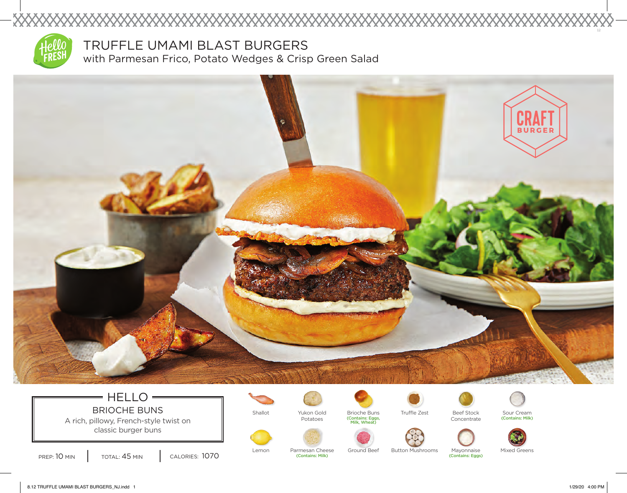

XXXXXX

TRUFFLE UMAMI BLAST BURGERS with Parmesan Frico, Potato Wedges & Crisp Green Salad



### HELLO =  $\equiv$ BRIOCHE BUNS | Shallot Pukon Gold Brioche Buns A rich, pillowy, French-style twist on

classic burger buns

PREP: 10 MIN | TOTAL: 45 MIN | CALORIES: 1070



Potatoes

(Contains: Milk)



(Contains: Eggs, Milk, Wheat)



Truffle Zest



Sour Cream (Contains: Milk)



Lemon Parmesan Cheese Ground Beef Button Mushrooms Mayonnaise Mixed Greens Mayonnaise (Contains: Eggs)

8.12 TRUFFLE UMAMI BLAST BURGERS\_NJ.indd 1 1/29/20 4:00 PM

12